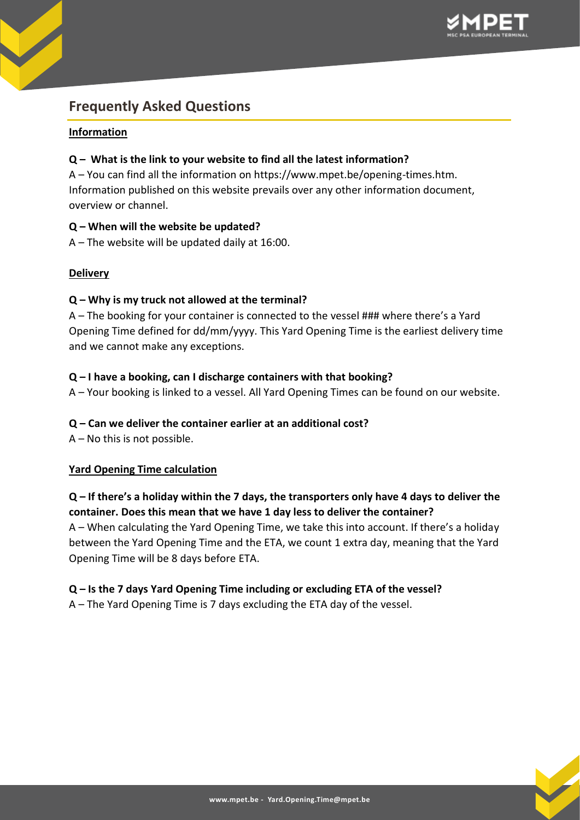

# **Frequently Asked Questions**

# **Information**

# **Q – What is the link to your website to find all the latest information?**

A – You can find all the information on https://www.mpet.be/opening-times.htm. Information published on this website prevails over any other information document, overview or channel.

# **Q – When will the website be updated?**

A – The website will be updated daily at 16:00.

# **Delivery**

# **Q – Why is my truck not allowed at the terminal?**

A – The booking for your container is connected to the vessel ### where there's a Yard Opening Time defined for dd/mm/yyyy. This Yard Opening Time is the earliest delivery time and we cannot make any exceptions.

# **Q – I have a booking, can I discharge containers with that booking?**

A – Your booking is linked to a vessel. All Yard Opening Times can be found on our website.

#### **Q – Can we deliver the container earlier at an additional cost?**

A – No this is not possible.

#### **Yard Opening Time calculation**

# **Q – If there's a holiday within the 7 days, the transporters only have 4 days to deliver the container. Does this mean that we have 1 day less to deliver the container?**

A – When calculating the Yard Opening Time, we take this into account. If there's a holiday between the Yard Opening Time and the ETA, we count 1 extra day, meaning that the Yard Opening Time will be 8 days before ETA.

#### **Q – Is the 7 days Yard Opening Time including or excluding ETA of the vessel?**

A – The Yard Opening Time is 7 days excluding the ETA day of the vessel.